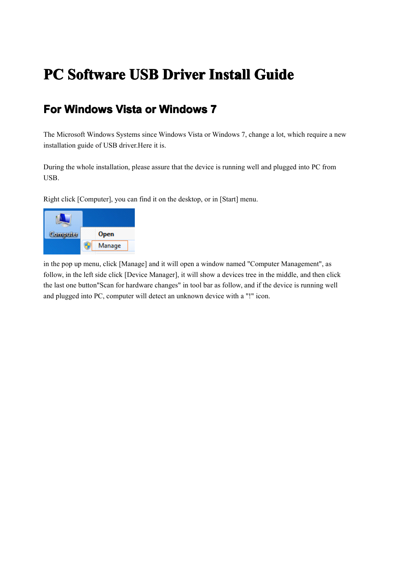## **PC** Software USB Driver Install Guide

## **For Windows Vista or Windows 7**

The Microsoft Windows Systems since Windows Vista or Windows 7, change <sup>a</sup> lot, which require <sup>a</sup> new installation guide of USB driver.Here it is.

During the whole installation, please assure that thedevice is running well and plugged into PC from USB.

Right click [Computer], you can find it on the desktop, or in [Start] menu.



in the pop up menu, click [Manage] and it will open <sup>a</sup> window named "Computer Management", as follow, in the left side click [Device Manager], it will show <sup>a</sup> devices tree in the middle, and then click the last one button"Scan for hardware changes" in tool bar as follow, and if the device is running well and plugged into PC, computer will detect an unknown device with <sup>a</sup> "!" icon.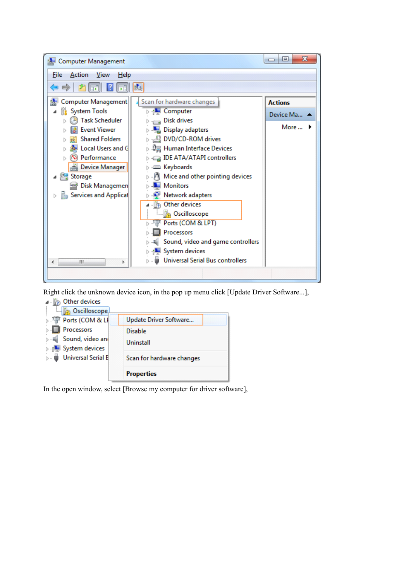

Right click the unknown device icon, in the pop up menu click [Update Driver Software...],



In the open window, select [Browse my computer for driver software],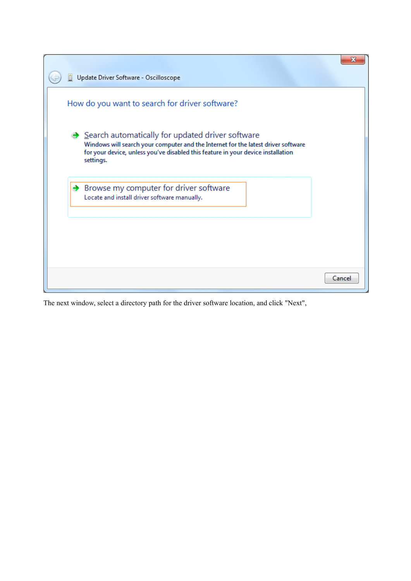| Update Driver Software - Oscilloscope                                                                                                                                                                                                    |        |
|------------------------------------------------------------------------------------------------------------------------------------------------------------------------------------------------------------------------------------------|--------|
| How do you want to search for driver software?                                                                                                                                                                                           |        |
| → Search automatically for updated driver software<br>Windows will search your computer and the Internet for the latest driver software<br>for your device, unless you've disabled this feature in your device installation<br>settings. |        |
| $\rightarrow$ Browse my computer for driver software<br>Locate and install driver software manually.                                                                                                                                     |        |
|                                                                                                                                                                                                                                          |        |
|                                                                                                                                                                                                                                          | Cancel |

The next window, select <sup>a</sup> directory path for the driver software location, and click "Next",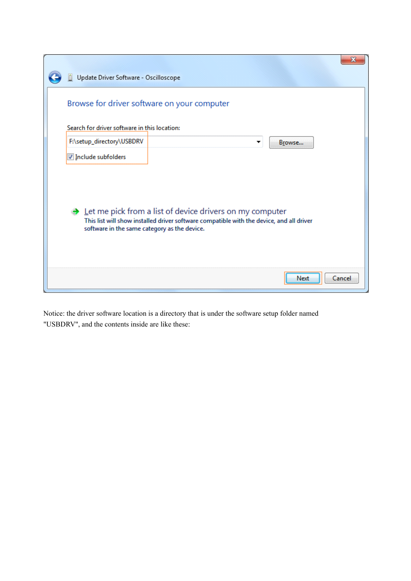| Ж                                                                                                                                                                                                                                    |
|--------------------------------------------------------------------------------------------------------------------------------------------------------------------------------------------------------------------------------------|
| Update Driver Software - Oscilloscope                                                                                                                                                                                                |
| Browse for driver software on your computer                                                                                                                                                                                          |
| Search for driver software in this location:                                                                                                                                                                                         |
| F:\setup_directory\USBDRV<br>Browse                                                                                                                                                                                                  |
| Include subfolders                                                                                                                                                                                                                   |
| $\rightarrow$ Let me pick from a list of device drivers on my computer<br>This list will show installed driver software compatible with the device, and all driver<br>software in the same category as the device.<br>Next<br>Cancel |

Notice: the driver software location is <sup>a</sup> directory that is under the software setup folder named "USBDRV", and the contents inside are like these: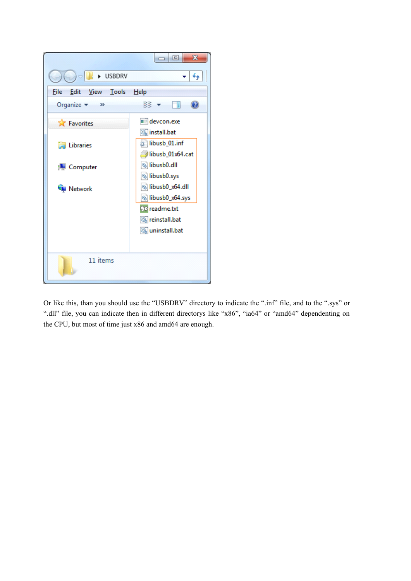|                               | $\mathbf x$<br>o<br>$\blacksquare$                                                |
|-------------------------------|-----------------------------------------------------------------------------------|
| <b>DE USBDRV</b>              |                                                                                   |
| Edit<br>Tools<br>File<br>View | Help                                                                              |
| Organize v<br>33              | 騑                                                                                 |
| Favorites                     | devcon.exe<br><b>Solinstall</b> .bat                                              |
| Libraries                     | libusb_01.inf<br>libusb_01x64.cat                                                 |
| Computer                      | S libusb0.dll<br>Silibusb0.sys                                                    |
| <b>Network</b>                | Silibusb0_x64.dll<br>@ libusb0_x64.sys<br><b>OG</b> readme.txt<br>Sireinstall.bat |
|                               | ु uninstall.bat                                                                   |
| 11 items                      |                                                                                   |

Or like this, than you should use the "USBDRV" directory to indicate the ".inf" file, and to the ".sys" or ".dll" file, you can indicate then in different directorys like "x86", "ia64" or "amd64" dependenting on the CPU, but most of time just x86 and amd64 are enough.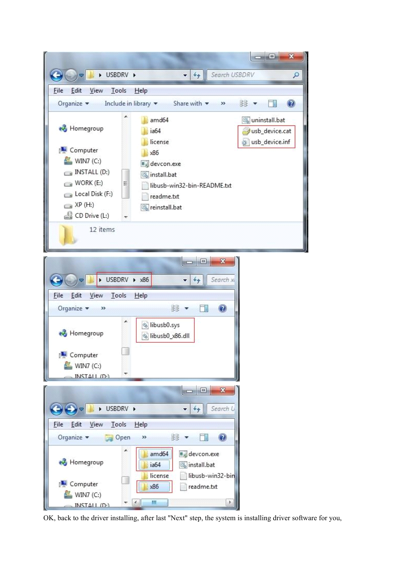



OK, back to the driver installing, after last "Next" step, the system is installing driver software for you,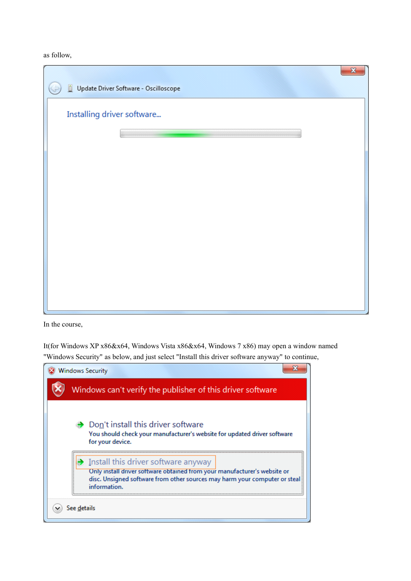## as follow,



In the course,

It(for Windows XP x86&x64, Windows Vista x86&x64, Windows 7 x86) may open <sup>a</sup> window named "Windows Security" as below, and just select "Install this driver software anyway" to continue,

| Windows can't verify the publisher of this driver software                                                                                                                                                                   |
|------------------------------------------------------------------------------------------------------------------------------------------------------------------------------------------------------------------------------|
| $\rightarrow$ Don't install this driver software<br>You should check your manufacturer's website for updated driver software<br>for your device.                                                                             |
| $\rightarrow$ Install this driver software anyway<br>Only install driver software obtained from your manufacturer's website or<br>disc. Unsigned software from other sources may harm your computer or steal<br>information. |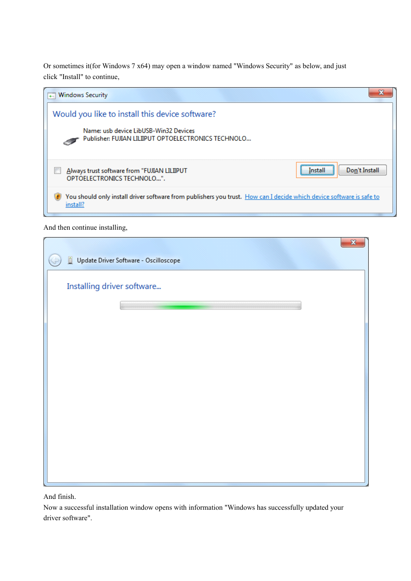Or sometimes it(for Windows 7 x64) may open <sup>a</sup> window named "Windows Security" as below, and just click "Install" to continue,

| <b>Windows Security</b>                                                                                                          |                              |
|----------------------------------------------------------------------------------------------------------------------------------|------------------------------|
| Would you like to install this device software?                                                                                  |                              |
| Name: usb device LibUSB-Win32 Devices<br>Publisher: FUJIAN LILIIPUT OPTOELECTRONICS TECHNOLO                                     |                              |
| Always trust software from "FUJIAN LILIIPUT<br>OPTOELECTRONICS TECHNOLO".                                                        | <br>Don't Install<br>Install |
| You should only install driver software from publishers you trust. How can I decide which device software is safe to<br>install? |                              |

And then continue installing,

| Update Driver Software - Oscilloscope<br>O. | $\overline{\mathbf{x}}$ |
|---------------------------------------------|-------------------------|
| Installing driver software                  |                         |
|                                             |                         |
|                                             |                         |
|                                             |                         |
|                                             |                         |
|                                             |                         |
|                                             |                         |
|                                             |                         |

And finish.

Now <sup>a</sup> successful installation window opens with information "Windows has successfully updated your driver software".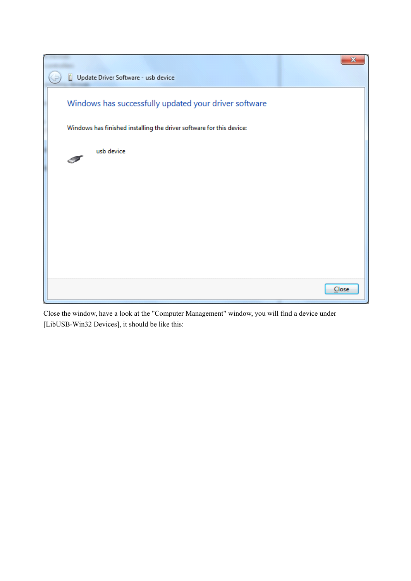

Close the window, have <sup>a</sup> look at the "Computer Management" window, you will find <sup>a</sup> device under [LibUSB-Win32 Devices], it should be like this: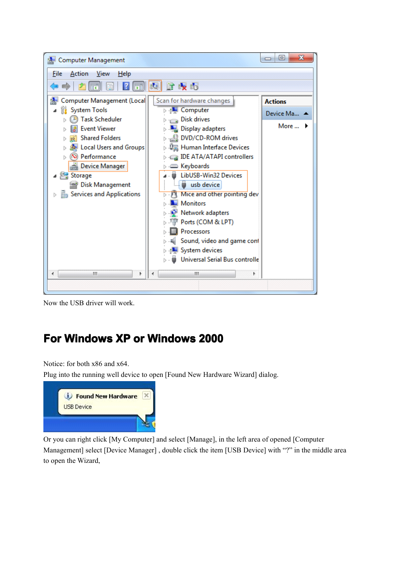

Now the USB driver will work.

## **For Windows WindowsWindowsWindowsXP or Windows WindowsWindows2000**

Notice: for both x86 and x64.

Plug into the running well device to open [Found New Hardware Wizard] dialog.



Or you can right click [My Computer] and select [Manage], in the left area of opened [Computer Management] select [Device Manager] , double click the item [USB Device] with "?" in the middle area to open the Wizard,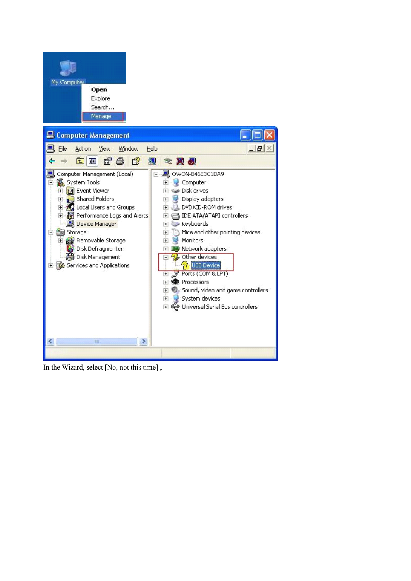

In the Wizard, select [No, not this time] ,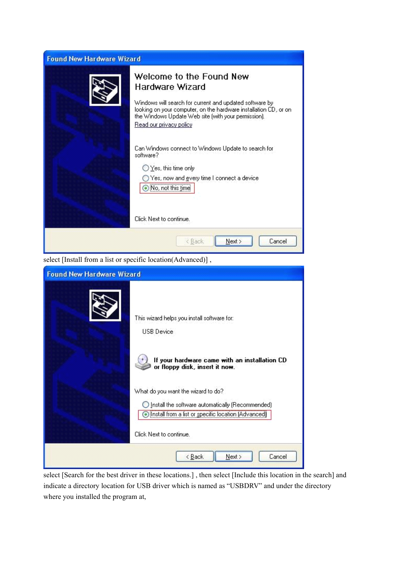| <b>Found New Hardware Wizard</b> |                                                                                                                                                                                                                                                              |  |
|----------------------------------|--------------------------------------------------------------------------------------------------------------------------------------------------------------------------------------------------------------------------------------------------------------|--|
|                                  | Welcome to the Found New<br>Hardware Wizard<br>Windows will search for current and updated software by<br>looking on your computer, on the hardware installation CD, or on<br>the Windows Update Web site (with your permission).<br>Read our privacy policy |  |
|                                  | Can Windows connect to Windows Update to search for<br>software?<br>◯ Yes, this time only<br>Yes, now and every time I connect a device<br>No, not this time<br>Click Next to continue.                                                                      |  |
|                                  | Next ><br>Cancel<br>< Back                                                                                                                                                                                                                                   |  |

select [Install from <sup>a</sup> list or specific location(Advanced)] ,

| <b>Found New Hardware Wizard</b>                                                                                                                                                                                                                                                                                                          |  |  |
|-------------------------------------------------------------------------------------------------------------------------------------------------------------------------------------------------------------------------------------------------------------------------------------------------------------------------------------------|--|--|
| This wizard helps you install software for:<br><b>USB</b> Device<br>If your hardware came with an installation CD<br>or floppy disk, insert it now.<br>What do you want the wizard to do?<br>◯ Install the software automatically (Recommended)<br>$\odot$ Install from a list or specific location (Advanced)<br>Click Next to continue. |  |  |
| < Back<br>Next ><br>Cancel                                                                                                                                                                                                                                                                                                                |  |  |

select [Search for the best driver in these locations.] , then select [Include this location in the search] and indicate <sup>a</sup> directory location for USB driver which is named as "USBDRV" and under the directory where you installed the program at,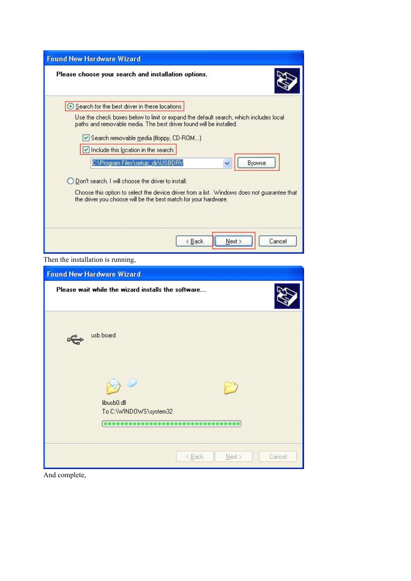| <b>Found New Hardware Wizard</b>                                                                                                                                                                                                                                                                                                                       |
|--------------------------------------------------------------------------------------------------------------------------------------------------------------------------------------------------------------------------------------------------------------------------------------------------------------------------------------------------------|
| Please choose your search and installation options.                                                                                                                                                                                                                                                                                                    |
| • Search for the best driver in these locations.                                                                                                                                                                                                                                                                                                       |
| Use the check boxes below to limit or expand the default search, which includes local<br>paths and removable media. The best driver found will be installed.<br>Search removable media (floppy, CD-ROM)<br>Include this location in the search:<br>Browse<br>C:\Program Files\setup_dir\USBDRV<br>◯ Don't search. I will choose the driver to install. |
| Choose this option to select the device driver from a list. Windows does not guarantee that<br>the driver you choose will be the best match for your hardware.<br>< Back<br>Next ><br>Cancel                                                                                                                                                           |

Then the installation is running,

| <b>Found New Hardware Wizard</b>                   |                            |  |
|----------------------------------------------------|----------------------------|--|
| Please wait while the wizard installs the software |                            |  |
| usb board                                          |                            |  |
| ر ا<br>libusb0.dll<br>To C:\WINDOWS\system32       |                            |  |
|                                                    | < Back<br>Next ><br>Cancel |  |

And complete,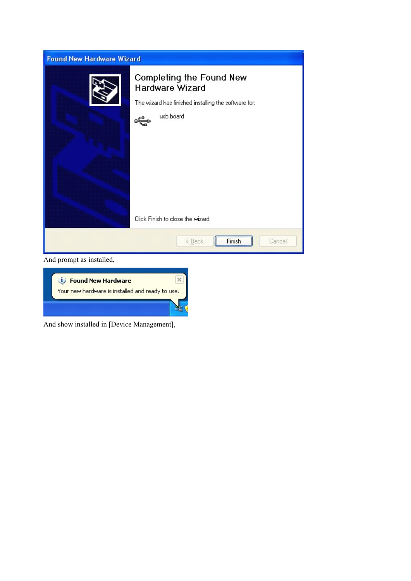

And prompt as installed,



And show installed in [Device Management],